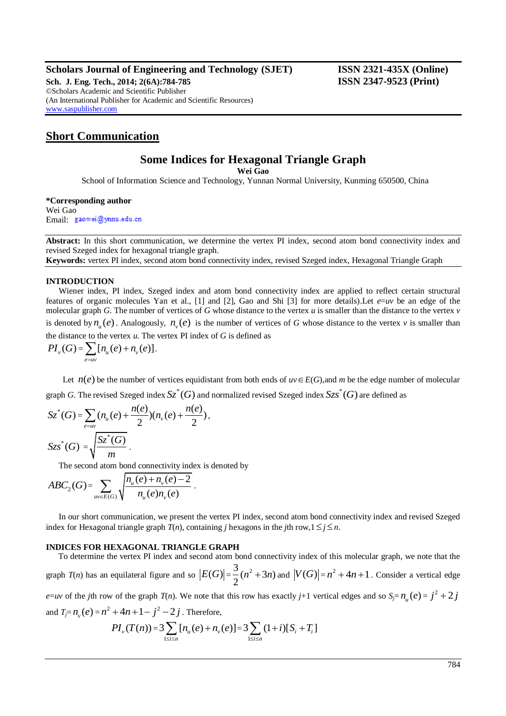## **Scholars Journal of Engineering and Technology (SJET) ISSN 2321-435X (Online)**

**Sch. J. Eng. Tech., 2014; 2(6A):784-785 ISSN 2347-9523 (Print)** ©Scholars Academic and Scientific Publisher (An International Publisher for Academic and Scientific Resources) [www.saspublisher.com](http://www.saspublisher.com/)

# **Short Communication**

# **Some Indices for Hexagonal Triangle Graph**

**Wei Gao**

School of Information Science and Technology, Yunnan Normal University, Kunming 650500, China

**\*Corresponding author** Wei Gao Email: gaowei@ynnu.edu.cn

**Abstract:** In this short communication, we determine the vertex PI index, second atom bond connectivity index and revised Szeged index for hexagonal triangle graph. **Keywords:** vertex PI index, second atom bond connectivity index, revised Szeged index, Hexagonal Triangle Graph

#### **INTRODUCTION**

Wiener index, PI index, Szeged index and atom bond connectivity index are applied to reflect certain structural features of organic molecules Yan et al., [1] and [2], Gao and Shi [3] for more details).Let *e*=*uv* be an edge of the molecular graph *G*. The number of vertices of *G* whose distance to the vertex *u* is smaller than the distance to the vertex *v* is denoted by  $n_u(e)$ . Analogously,  $n_v(e)$  is the number of vertices of *G* whose distance to the vertex *v* is smaller than the distance to the vertex *u*. The vertex PI index of *G* is defined as

$$
PI_{\nu}(G) = \sum_{e=uv} [n_{u}(e) + n_{\nu}(e)].
$$

Let  $n(e)$  be the number of vertices equidistant from both ends of  $uv \in E(G)$ , and m be the edge number of molecular graph *G*. The revised Szeged index  $Sz^*(G)$  and normalized revised Szeged index  $Szs^*(G)$  are defined as  $Sz^*(G) = \sum (n_u(e) + \frac{n(e)}{2})(n_v(e) + \frac{n(e)}{2})$ ,

$$
Sz^*(G) = \sum_{e=uv} (n_u(e) + \frac{n(e)}{2})(n_v(e) + \frac{n(e)}{2}),
$$
  

$$
Szs^*(G) = \sqrt{\frac{Sz^*(G)}{m}}.
$$

The second atom bond connectivity index is denoted by

$$
ABC_2(G) = \sum_{uv \in E(G)} \sqrt{\frac{n_u(e) + n_v(e) - 2}{n_u(e)n_v(e)}}.
$$

In our short communication, we present the vertex PI index, second atom bond connectivity index and revised Szeged index for Hexagonal triangle graph  $T(n)$ , containing *j* hexagons in the *j*th row,  $1 \le j \le n$ .

### **INDICES FOR HEXAGONAL TRIANGLE GRAPH**

To determine the vertex PI index and second atom bond connectivity index of this molecular graph, we note that the graph *T*(*n*) has an equilateral figure and so  $|E(G)| = \frac{3}{2}(n^2 + 3n)$ 2  $n^2 + 3n$ ) and  $|V(G)| = n^2 + 4n + 1$ . Consider a vertical edge

*e*=*uv* of the *j*th row of the graph *T*(*n*). We note that this row has exactly *j*+1 vertical edges and so  $S_j = n_u(e) = j^2 + 2j$ and  $T_j = n_y (e) = n^2 + 4n + 1 - j^2 - 2j$ . Therefore,

$$
PI_{\nu}(T(n)) = 3 \sum_{1 \le i \le n} [n_{\nu}(e) + n_{\nu}(e)] = 3 \sum_{1 \le i \le n} (1+i) [S_i + T_i]
$$